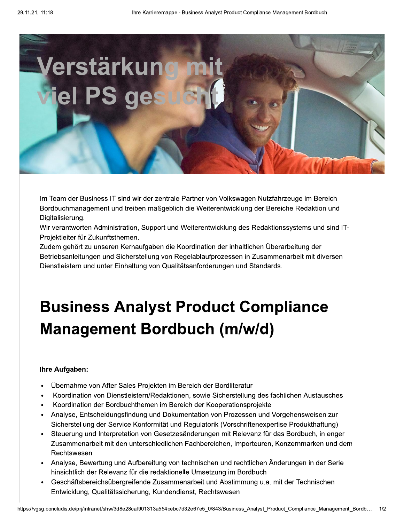

Im Team der Business IT sind wir der zentrale Partner von Volkswagen Nutzfahrzeuge im Bereich Bordbuchmanagement und treiben maßgeblich die Weiterentwicklung der Bereiche Redaktion und Digitalisierung.

Wir verantworten Administration, Support und Weiterentwicklung des Redaktionssystems und sind IT-Projektleiter für Zukunftsthemen.

Zudem gehört zu unseren Kernaufgaben die Koordination der inhaltlichen Überarbeitung der Betriebsanleitungen und Sicherstellung von Regelablaufprozessen in Zusammenarbeit mit diversen Dienstleistern und unter Einhaltung von Qualitätsanforderungen und Standards.

## **Business Analyst Product Compliance Management Bordbuch (m/w/d)**

## Ihre Aufgaben:

- Übernahme von After Sales Projekten im Bereich der Bordliteratur
- Koordination von Dienstleistern/Redaktionen, sowie Sicherstellung des fachlichen Austausches
- Koordination der Bordbuchthemen im Bereich der Kooperationsprojekte
- Analyse, Entscheidungsfindung und Dokumentation von Prozessen und Vorgehensweisen zur  $\bullet$ Sicherstellung der Service Konformität und Regulatorik (Vorschriftenexpertise Produkthaftung)
- Steuerung und Interpretation von Gesetzesänderungen mit Relevanz für das Bordbuch, in enger Zusammenarbeit mit den unterschiedlichen Fachbereichen, Importeuren, Konzernmarken und dem Rechtswesen
- Analyse, Bewertung und Aufbereitung von technischen und rechtlichen Änderungen in der Serie hinsichtlich der Relevanz für die redaktionelle Umsetzung im Bordbuch
- Geschäftsbereichsübergreifende Zusammenarbeit und Abstimmung u.a. mit der Technischen Entwicklung, Qualitätssicherung, Kundendienst, Rechtswesen